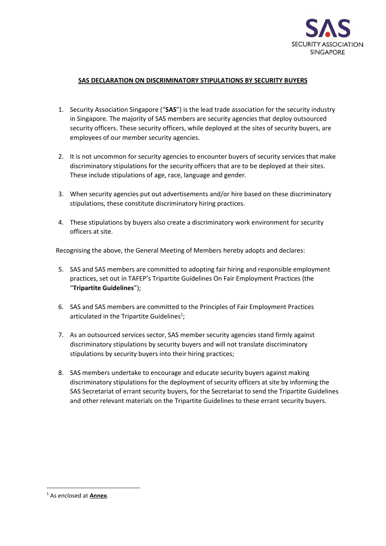

## **SAS DECLARATION ON DISCRIMINATORY STIPULATIONS BY SECURITY BUYERS**

- 1. Security Association Singapore ("**SAS**") is the lead trade association for the security industry in Singapore. The majority of SAS members are security agencies that deploy outsourced security officers. These security officers, while deployed at the sites of security buyers, are employees of our member security agencies.
- 2. It is not uncommon for security agencies to encounter buyers of security services that make discriminatory stipulations for the security officers that are to be deployed at their sites. These include stipulations of age, race, language and gender.
- 3. When security agencies put out advertisements and/or hire based on these discriminatory stipulations, these constitute discriminatory hiring practices.
- 4. These stipulations by buyers also create a discriminatory work environment for security officers at site.

Recognising the above, the General Meeting of Members hereby adopts and declares:

- 5. SAS and SAS members are committed to adopting fair hiring and responsible employment practices, set out in TAFEP's Tripartite Guidelines On Fair Employment Practices (the "**Tripartite Guidelines**");
- 6. SAS and SAS members are committed to the Principles of Fair Employment Practices articulated in the Tripartite Guidelines<sup>1</sup>;
- 7. As an outsourced services sector, SAS member security agencies stand firmly against discriminatory stipulations by security buyers and will not translate discriminatory stipulations by security buyers into their hiring practices;
- 8. SAS members undertake to encourage and educate security buyers against making discriminatory stipulations for the deployment of security officers at site by informing the SAS Secretariat of errant security buyers, for the Secretariat to send the Tripartite Guidelines and other relevant materials on the Tripartite Guidelines to these errant security buyers.

<sup>1</sup> As enclosed at **Annex**.